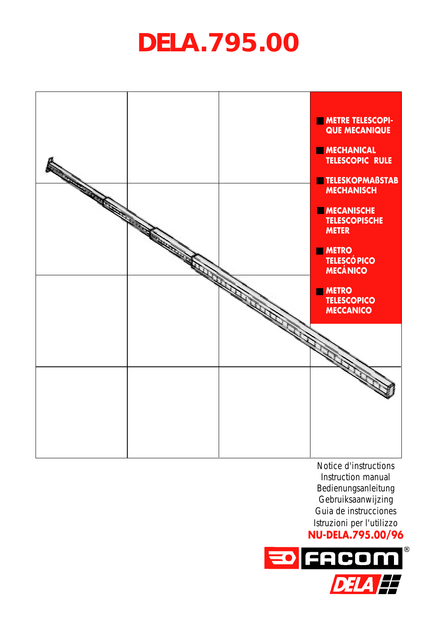# **DELA.795.00**



Notice d'instructions Instruction manual Bedienungsanleitung Gebruiksaanwijzing Guia de instrucciones Istruzioni per l'utilizzo **NU-DELA.795.00/96**

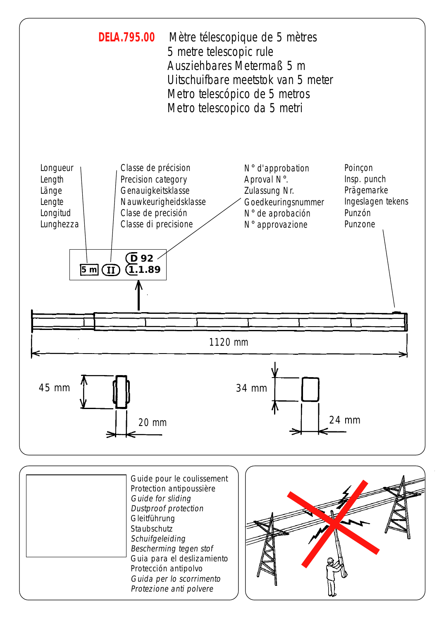

|  | Guide pour le coulissement<br>Protection antipoussière<br>Guide for sliding<br>Dustproof protection<br>Gleitführung<br>Staubschutz<br>Schuifgeleiding<br>Bescherming tegen stof<br>Guia para el deslizamiento<br>Protección antipolvo<br>Guida per lo scorrimento<br>Protezione anti polvere |
|--|----------------------------------------------------------------------------------------------------------------------------------------------------------------------------------------------------------------------------------------------------------------------------------------------|
|--|----------------------------------------------------------------------------------------------------------------------------------------------------------------------------------------------------------------------------------------------------------------------------------------------|

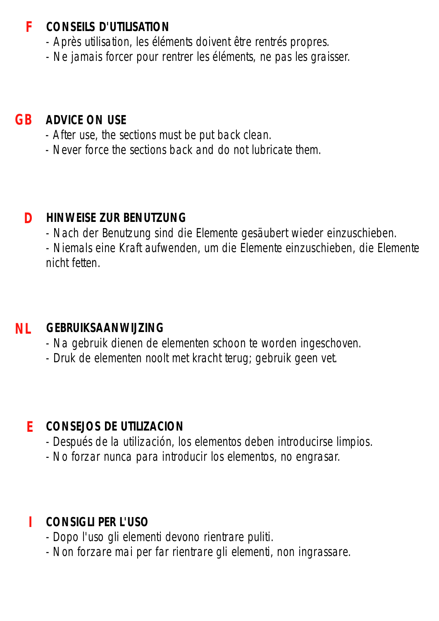### **CONSEILS D'UTILISATION F**

- Après utilisation, les éléments doivent être rentrés propres.
- Ne jamais forcer pour rentrer les éléments, ne pas les graisser.

## **GB ADVICE ON USE**

- After use, the sections must be put back clean.
- Never force the sections back and do not lubricate them.

#### **D HINWEISE ZUR BENUTZUNG**

- Nach der Benutzung sind die Elemente gesäubert wieder einzuschieben.

- Niemals eine Kraft aufwenden, um die Elemente einzuschieben, die Elemente nicht fetten.

#### **NL GEBRUIKSAANWIJZING**

- Na gebruik dienen de elementen schoon te worden ingeschoven.
- Druk de elementen noolt met kracht terug; gebruik geen vet.

## **E CONSEJOS DE UTILIZACION**

- Después de la utilización, los elementos deben introducirse limpios.
- No forzar nunca para introducir los elementos, no engrasar.

## **I CONSIGLI PER L'USO**

- Dopo l'uso gli elementi devono rientrare puliti.
- Non forzare mai per far rientrare gli elementi, non ingrassare.